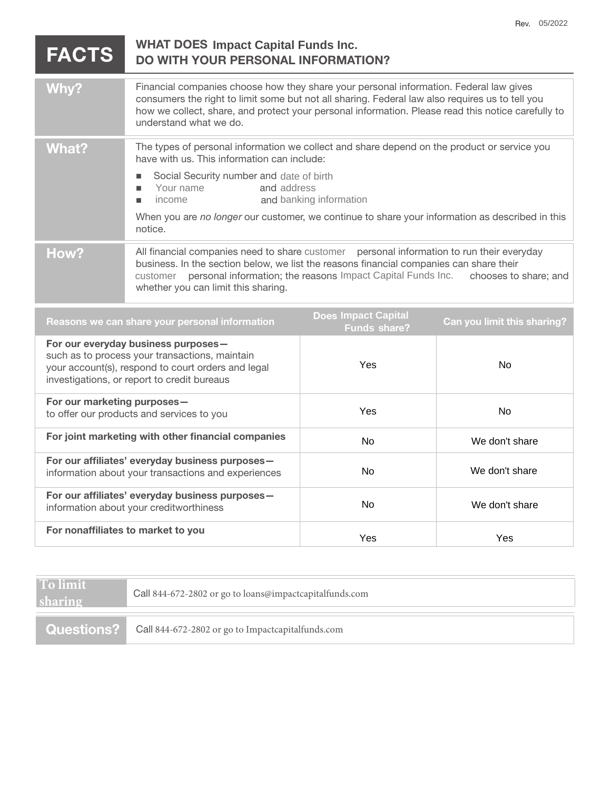| <b>FACTS</b>                                                                                                                                                                               | <b>WHAT DOES Impact Capital Funds Inc.</b><br><b>DO WITH YOUR PERSONAL INFORMATION?</b>                                                                                                                                                                                                                                                                                              |                                                   |                             |
|--------------------------------------------------------------------------------------------------------------------------------------------------------------------------------------------|--------------------------------------------------------------------------------------------------------------------------------------------------------------------------------------------------------------------------------------------------------------------------------------------------------------------------------------------------------------------------------------|---------------------------------------------------|-----------------------------|
| Why?                                                                                                                                                                                       | Financial companies choose how they share your personal information. Federal law gives<br>consumers the right to limit some but not all sharing. Federal law also requires us to tell you<br>how we collect, share, and protect your personal information. Please read this notice carefully to<br>understand what we do.                                                            |                                                   |                             |
| <b>What?</b>                                                                                                                                                                               | The types of personal information we collect and share depend on the product or service you<br>have with us. This information can include:<br>Social Security number and date of birth<br>п<br>Your name<br>and address<br>п<br>income<br>and banking information<br>п<br>When you are no longer our customer, we continue to share your information as described in this<br>notice. |                                                   |                             |
| How?                                                                                                                                                                                       | All financial companies need to share customer personal information to run their everyday<br>business. In the section below, we list the reasons financial companies can share their<br>personal information; the reasons Impact Capital Funds Inc.<br>customer<br>chooses to share; and<br>whether you can limit this sharing.                                                      |                                                   |                             |
| Reasons we can share your personal information                                                                                                                                             |                                                                                                                                                                                                                                                                                                                                                                                      | <b>Does Impact Capital</b><br><b>Funds share?</b> | Can you limit this sharing? |
| For our everyday business purposes-<br>such as to process your transactions, maintain<br>your account(s), respond to court orders and legal<br>investigations, or report to credit bureaus |                                                                                                                                                                                                                                                                                                                                                                                      | Yes                                               | <b>No</b>                   |
| For our marketing purposes-<br>to offer our products and services to you                                                                                                                   |                                                                                                                                                                                                                                                                                                                                                                                      | Yes                                               | <b>No</b>                   |
| For joint marketing with other financial companies                                                                                                                                         |                                                                                                                                                                                                                                                                                                                                                                                      | No                                                | We don't share              |
| For our affiliates' everyday business purposes-<br>والمستواس والمستور والمستور والمستوسط والمستوري والمستوات المستطرقة                                                                     |                                                                                                                                                                                                                                                                                                                                                                                      | $N_{\Omega}$                                      | An't share اسماء ا          |

| For our amiliates' everyday business purposes—<br>information about your transactions and experiences | No. | We don't share |
|-------------------------------------------------------------------------------------------------------|-----|----------------|
| For our affiliates' everyday business purposes -<br>information about your creditworthiness           | No. | We don't share |
| For nonaffiliates to market to you                                                                    | Yes | Yes            |

**To limit sharing**

Call 844-672-2802 or go to loans@impactcapitalfunds.com

**Questions?** Call 844-672-2802 or go to Impactcapitalfunds.com